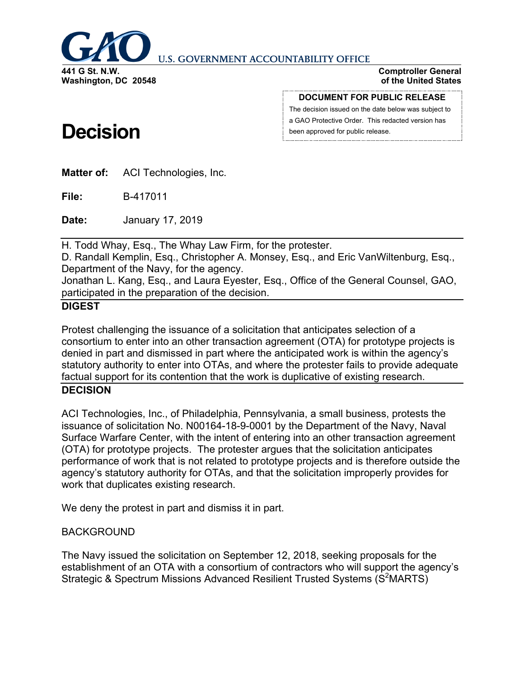

**U.S. GOVERNMENT ACCOUNTABILITY OFFICE** 

**Comptroller General of the United States**

**Washington, DC 20548**

#### **DOCUMENT FOR PUBLIC RELEASE**

The decision issued on the date below was subject to a GAO Protective Order. This redacted version has been approved for public release.

# **Decision**

**Matter of:** ACI Technologies, Inc.

**File:** B-417011

**Date:** January 17, 2019

H. Todd Whay, Esq., The Whay Law Firm, for the protester.

D. Randall Kemplin, Esq., Christopher A. Monsey, Esq., and Eric VanWiltenburg, Esq., Department of the Navy, for the agency.

Jonathan L. Kang, Esq., and Laura Eyester, Esq., Office of the General Counsel, GAO, participated in the preparation of the decision.

## **DIGEST**

Protest challenging the issuance of a solicitation that anticipates selection of a consortium to enter into an other transaction agreement (OTA) for prototype projects is denied in part and dismissed in part where the anticipated work is within the agency's statutory authority to enter into OTAs, and where the protester fails to provide adequate factual support for its contention that the work is duplicative of existing research.

## **DECISION**

ACI Technologies, Inc., of Philadelphia, Pennsylvania, a small business, protests the issuance of solicitation No. N00164-18-9-0001 by the Department of the Navy, Naval Surface Warfare Center, with the intent of entering into an other transaction agreement (OTA) for prototype projects. The protester argues that the solicitation anticipates performance of work that is not related to prototype projects and is therefore outside the agency's statutory authority for OTAs, and that the solicitation improperly provides for work that duplicates existing research.

We deny the protest in part and dismiss it in part.

# BACKGROUND

The Navy issued the solicitation on September 12, 2018, seeking proposals for the establishment of an OTA with a consortium of contractors who will support the agency's Strategic & Spectrum Missions Advanced Resilient Trusted Systems (S<sup>2</sup>MARTS)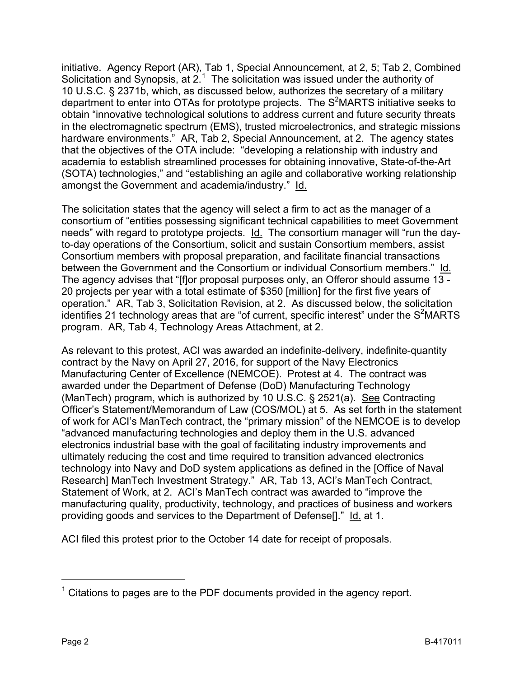initiative. Agency Report (AR), Tab 1, Special Announcement, at 2, 5; Tab 2, Combined Solicitation and Synopsis, at  $2<sup>1</sup>$  $2<sup>1</sup>$  $2<sup>1</sup>$  The solicitation was issued under the authority of 10 U.S.C. § 2371b, which, as discussed below, authorizes the secretary of a military department to enter into OTAs for prototype projects. The  $S^2$ MARTS initiative seeks to obtain "innovative technological solutions to address current and future security threats in the electromagnetic spectrum (EMS), trusted microelectronics, and strategic missions hardware environments." AR, Tab 2, Special Announcement, at 2. The agency states that the objectives of the OTA include: "developing a relationship with industry and academia to establish streamlined processes for obtaining innovative, State-of-the-Art (SOTA) technologies," and "establishing an agile and collaborative working relationship amongst the Government and academia/industry." Id.

The solicitation states that the agency will select a firm to act as the manager of a consortium of "entities possessing significant technical capabilities to meet Government needs" with regard to prototype projects. Id. The consortium manager will "run the dayto-day operations of the Consortium, solicit and sustain Consortium members, assist Consortium members with proposal preparation, and facilitate financial transactions between the Government and the Consortium or individual Consortium members." Id. The agency advises that "[f]or proposal purposes only, an Offeror should assume 13 -20 projects per year with a total estimate of \$350 [million] for the first five years of operation." AR, Tab 3, Solicitation Revision, at 2. As discussed below, the solicitation identifies 21 technology areas that are "of current, specific interest" under the  $S^2$ MARTS program. AR, Tab 4, Technology Areas Attachment, at 2.

As relevant to this protest, ACI was awarded an indefinite-delivery, indefinite-quantity contract by the Navy on April 27, 2016, for support of the Navy Electronics Manufacturing Center of Excellence (NEMCOE). Protest at 4. The contract was awarded under the Department of Defense (DoD) Manufacturing Technology (ManTech) program, which is authorized by 10 U.S.C. § 2521(a). See Contracting Officer's Statement/Memorandum of Law (COS/MOL) at 5. As set forth in the statement of work for ACI's ManTech contract, the "primary mission" of the NEMCOE is to develop "advanced manufacturing technologies and deploy them in the U.S. advanced electronics industrial base with the goal of facilitating industry improvements and ultimately reducing the cost and time required to transition advanced electronics technology into Navy and DoD system applications as defined in the [Office of Naval Research] ManTech Investment Strategy." AR, Tab 13, ACI's ManTech Contract, Statement of Work, at 2. ACI's ManTech contract was awarded to "improve the manufacturing quality, productivity, technology, and practices of business and workers providing goods and services to the Department of Defense<sup>[]"</sup> Id. at 1.

ACI filed this protest prior to the October 14 date for receipt of proposals.

<span id="page-1-0"></span> $1$  Citations to pages are to the PDF documents provided in the agency report.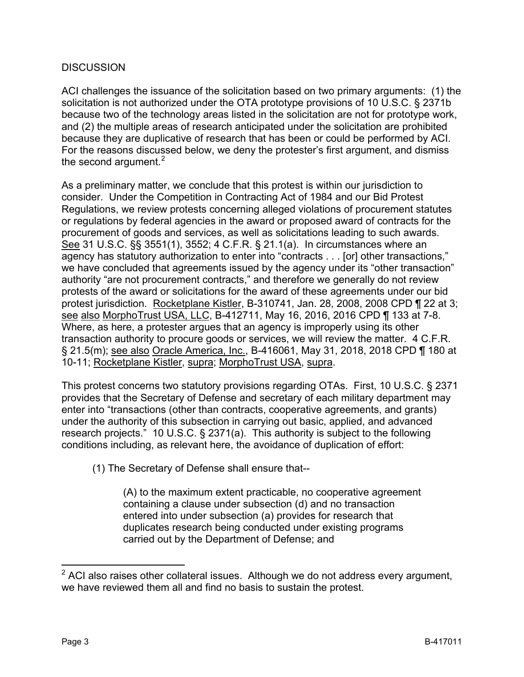## **DISCUSSION**

ACI challenges the issuance of the solicitation based on two primary arguments: (1) the solicitation is not authorized under the OTA prototype provisions of 10 U.S.C. § 2371b because two of the technology areas listed in the solicitation are not for prototype work, and (2) the multiple areas of research anticipated under the solicitation are prohibited because they are duplicative of research that has been or could be performed by ACI. For the reasons discussed below, we deny the protester's first argument, and dismiss the second argument. $2$ 

As a preliminary matter, we conclude that this protest is within our jurisdiction to consider. Under the Competition in Contracting Act of 1984 and our Bid Protest Regulations, we review protests concerning alleged violations of procurement statutes or regulations by federal agencies in the award or proposed award of contracts for the procurement of goods and services, as well as solicitations leading to such awards. See 31 U.S.C. §§ 3551(1), 3552; 4 C.F.R. § 21.1(a). In circumstances where an agency has statutory authorization to enter into "contracts . . . [or] other transactions," we have concluded that agreements issued by the agency under its "other transaction" authority "are not procurement contracts," and therefore we generally do not review protests of the award or solicitations for the award of these agreements under our bid protest jurisdiction. Rocketplane Kistler, B-310741, Jan. 28, 2008, 2008 CPD ¶ 22 at 3; see also MorphoTrust USA, LLC, B-412711, May 16, 2016, 2016 CPD ¶ 133 at 7-8. Where, as here, a protester argues that an agency is improperly using its other transaction authority to procure goods or services, we will review the matter. 4 C.F.R. § 21.5(m); see also Oracle America, Inc., B-416061, May 31, 2018, 2018 CPD ¶ 180 at 10-11; Rocketplane Kistler, supra; MorphoTrust USA, supra.

This protest concerns two statutory provisions regarding OTAs. First, 10 U.S.C. § 2371 provides that the Secretary of Defense and secretary of each military department may enter into "transactions (other than contracts, cooperative agreements, and grants) under the authority of this subsection in carrying out basic, applied, and advanced research projects." 10 U.S.C. § 2371(a). This authority is subject to the following conditions including, as relevant here, the avoidance of duplication of effort:

(1) The Secretary of Defense shall ensure that--

(A) to the maximum extent practicable, no cooperative agreement containing a clause under subsection (d) and no transaction entered into under subsection (a) provides for research that duplicates research being conducted under existing programs carried out by the Department of Defense; and

<span id="page-2-0"></span> $2$  ACI also raises other collateral issues. Although we do not address every argument, we have reviewed them all and find no basis to sustain the protest.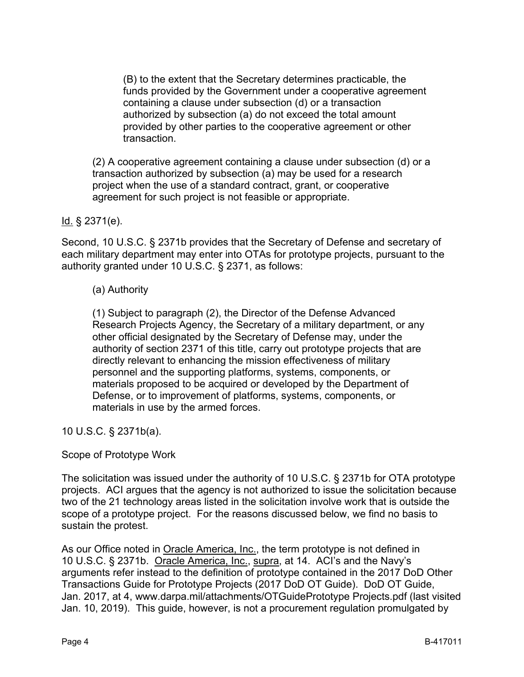(B) to the extent that the Secretary determines practicable, the funds provided by the Government under a cooperative agreement containing a clause under subsection (d) or a transaction authorized by subsection (a) do not exceed the total amount provided by other parties to the cooperative agreement or other transaction.

(2) A cooperative agreement containing a clause under subsection (d) or a transaction authorized by subsection (a) may be used for a research project when the use of a standard contract, grant, or cooperative agreement for such project is not feasible or appropriate.

## $Id.$  § 2371(e).

Second, 10 U.S.C. § 2371b provides that the Secretary of Defense and secretary of each military department may enter into OTAs for prototype projects, pursuant to the authority granted under 10 U.S.C. § 2371, as follows:

## (a) Authority

(1) Subject to paragraph (2), the Director of the Defense Advanced Research Projects Agency, the Secretary of a military department, or any other official designated by the Secretary of Defense may, under the authority of section 2371 of this title, carry out prototype projects that are directly relevant to enhancing the mission effectiveness of military personnel and the supporting platforms, systems, components, or materials proposed to be acquired or developed by the Department of Defense, or to improvement of platforms, systems, components, or materials in use by the armed forces.

10 U.S.C. § 2371b(a).

# Scope of Prototype Work

The solicitation was issued under the authority of 10 U.S.C. § 2371b for OTA prototype projects. ACI argues that the agency is not authorized to issue the solicitation because two of the 21 technology areas listed in the solicitation involve work that is outside the scope of a prototype project. For the reasons discussed below, we find no basis to sustain the protest.

As our Office noted in Oracle America, Inc., the term prototype is not defined in 10 U.S.C. § 2371b. Oracle America, Inc., supra, at 14. ACI's and the Navy's arguments refer instead to the definition of prototype contained in the 2017 DoD Other Transactions Guide for Prototype Projects (2017 DoD OT Guide). DoD OT Guide, Jan. 2017, at 4, www.darpa.mil/attachments/OTGuidePrototype Projects.pdf (last visited Jan. 10, 2019). This guide, however, is not a procurement regulation promulgated by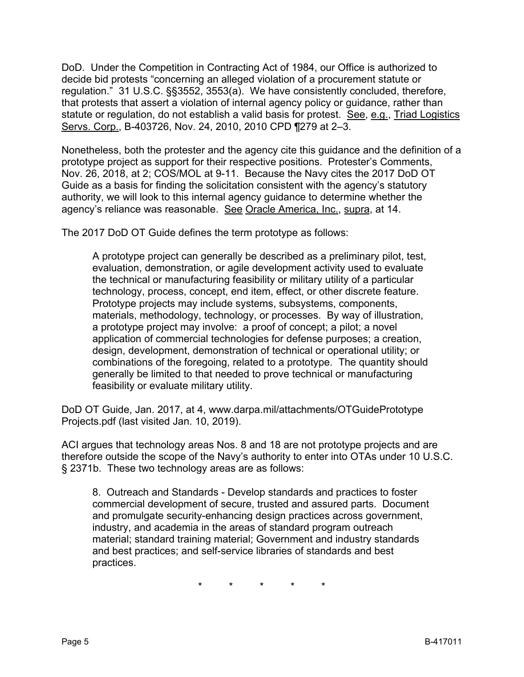DoD. Under the Competition in Contracting Act of 1984, our Office is authorized to decide bid protests "concerning an alleged violation of a procurement statute or regulation." 31 U.S.C. §§3552, 3553(a). We have consistently concluded, therefore, that protests that assert a violation of internal agency policy or guidance, rather than statute or regulation, do not establish a valid basis for protest. See, e.g., Triad Logistics Servs. Corp., B-403726, Nov. 24, 2010, 2010 CPD ¶279 at 2–3.

Nonetheless, both the protester and the agency cite this guidance and the definition of a prototype project as support for their respective positions. Protester's Comments, Nov. 26, 2018, at 2; COS/MOL at 9-11. Because the Navy cites the 2017 DoD OT Guide as a basis for finding the solicitation consistent with the agency's statutory authority, we will look to this internal agency guidance to determine whether the agency's reliance was reasonable. See Oracle America, Inc., supra, at 14.

The 2017 DoD OT Guide defines the term prototype as follows:

A prototype project can generally be described as a preliminary pilot, test, evaluation, demonstration, or agile development activity used to evaluate the technical or manufacturing feasibility or military utility of a particular technology, process, concept, end item, effect, or other discrete feature. Prototype projects may include systems, subsystems, components, materials, methodology, technology, or processes. By way of illustration, a prototype project may involve: a proof of concept; a pilot; a novel application of commercial technologies for defense purposes; a creation, design, development, demonstration of technical or operational utility; or combinations of the foregoing, related to a prototype. The quantity should generally be limited to that needed to prove technical or manufacturing feasibility or evaluate military utility.

DoD OT Guide, Jan. 2017, at 4, www.darpa.mil/attachments/OTGuidePrototype Projects.pdf (last visited Jan. 10, 2019).

ACI argues that technology areas Nos. 8 and 18 are not prototype projects and are therefore outside the scope of the Navy's authority to enter into OTAs under 10 U.S.C. § 2371b. These two technology areas are as follows:

8. Outreach and Standards - Develop standards and practices to foster commercial development of secure, trusted and assured parts. Document and promulgate security-enhancing design practices across government, industry, and academia in the areas of standard program outreach material; standard training material; Government and industry standards and best practices; and self-service libraries of standards and best practices.

\* \* \* \* \*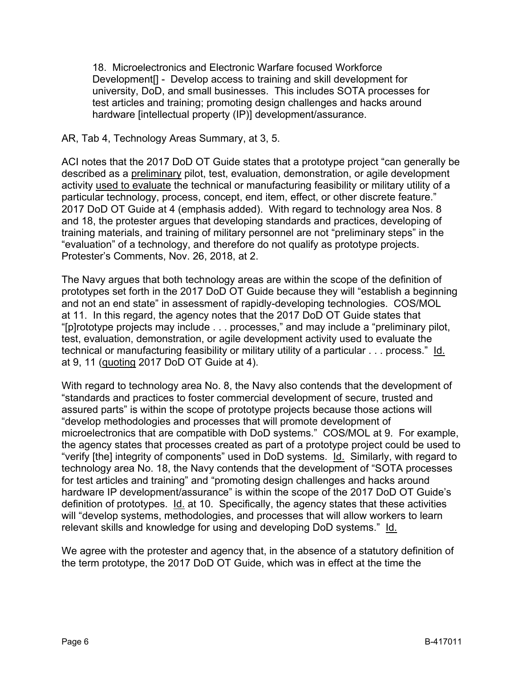18. Microelectronics and Electronic Warfare focused Workforce Development[] - Develop access to training and skill development for university, DoD, and small businesses. This includes SOTA processes for test articles and training; promoting design challenges and hacks around hardware [intellectual property (IP)] development/assurance.

## AR, Tab 4, Technology Areas Summary, at 3, 5.

ACI notes that the 2017 DoD OT Guide states that a prototype project "can generally be described as a preliminary pilot, test, evaluation, demonstration, or agile development activity used to evaluate the technical or manufacturing feasibility or military utility of a particular technology, process, concept, end item, effect, or other discrete feature." 2017 DoD OT Guide at 4 (emphasis added). With regard to technology area Nos. 8 and 18, the protester argues that developing standards and practices, developing of training materials, and training of military personnel are not "preliminary steps" in the "evaluation" of a technology, and therefore do not qualify as prototype projects. Protester's Comments, Nov. 26, 2018, at 2.

The Navy argues that both technology areas are within the scope of the definition of prototypes set forth in the 2017 DoD OT Guide because they will "establish a beginning and not an end state" in assessment of rapidly-developing technologies. COS/MOL at 11. In this regard, the agency notes that the 2017 DoD OT Guide states that "[p]rototype projects may include . . . processes," and may include a "preliminary pilot, test, evaluation, demonstration, or agile development activity used to evaluate the technical or manufacturing feasibility or military utility of a particular . . . process." Id. at 9, 11 (quoting 2017 DoD OT Guide at 4).

With regard to technology area No. 8, the Navy also contends that the development of "standards and practices to foster commercial development of secure, trusted and assured parts" is within the scope of prototype projects because those actions will "develop methodologies and processes that will promote development of microelectronics that are compatible with DoD systems." COS/MOL at 9. For example, the agency states that processes created as part of a prototype project could be used to "verify [the] integrity of components" used in DoD systems. Id. Similarly, with regard to technology area No. 18, the Navy contends that the development of "SOTA processes for test articles and training" and "promoting design challenges and hacks around hardware IP development/assurance" is within the scope of the 2017 DoD OT Guide's definition of prototypes. Id. at 10. Specifically, the agency states that these activities will "develop systems, methodologies, and processes that will allow workers to learn relevant skills and knowledge for using and developing DoD systems." Id.

We agree with the protester and agency that, in the absence of a statutory definition of the term prototype, the 2017 DoD OT Guide, which was in effect at the time the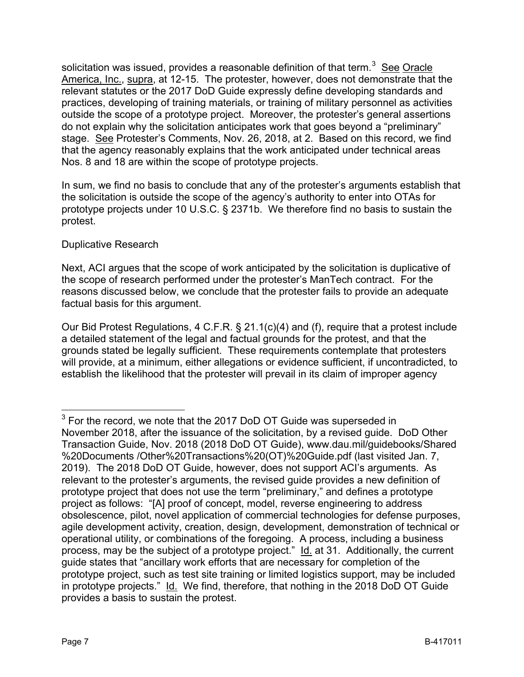solicitation was issued, provides a reasonable definition of that term.<sup>[3](#page-6-0)</sup> See Oracle America, Inc., supra, at 12-15. The protester, however, does not demonstrate that the relevant statutes or the 2017 DoD Guide expressly define developing standards and practices, developing of training materials, or training of military personnel as activities outside the scope of a prototype project. Moreover, the protester's general assertions do not explain why the solicitation anticipates work that goes beyond a "preliminary" stage. See Protester's Comments, Nov. 26, 2018, at 2. Based on this record, we find that the agency reasonably explains that the work anticipated under technical areas Nos. 8 and 18 are within the scope of prototype projects.

In sum, we find no basis to conclude that any of the protester's arguments establish that the solicitation is outside the scope of the agency's authority to enter into OTAs for prototype projects under 10 U.S.C. § 2371b. We therefore find no basis to sustain the protest.

## Duplicative Research

Next, ACI argues that the scope of work anticipated by the solicitation is duplicative of the scope of research performed under the protester's ManTech contract. For the reasons discussed below, we conclude that the protester fails to provide an adequate factual basis for this argument.

Our Bid Protest Regulations, 4 C.F.R. § 21.1(c)(4) and (f), require that a protest include a detailed statement of the legal and factual grounds for the protest, and that the grounds stated be legally sufficient. These requirements contemplate that protesters will provide, at a minimum, either allegations or evidence sufficient, if uncontradicted, to establish the likelihood that the protester will prevail in its claim of improper agency

<span id="page-6-0"></span> $3$  For the record, we note that the 2017 DoD OT Guide was superseded in November 2018, after the issuance of the solicitation, by a revised guide. DoD Other Transaction Guide, Nov. 2018 (2018 DoD OT Guide), www.dau.mil/guidebooks/Shared %20Documents /Other%20Transactions%20(OT)%20Guide.pdf (last visited Jan. 7, 2019). The 2018 DoD OT Guide, however, does not support ACI's arguments. As relevant to the protester's arguments, the revised guide provides a new definition of prototype project that does not use the term "preliminary," and defines a prototype project as follows: "[A] proof of concept, model, reverse engineering to address obsolescence, pilot, novel application of commercial technologies for defense purposes, agile development activity, creation, design, development, demonstration of technical or operational utility, or combinations of the foregoing. A process, including a business process, may be the subject of a prototype project." Id. at 31. Additionally, the current guide states that "ancillary work efforts that are necessary for completion of the prototype project, such as test site training or limited logistics support, may be included in prototype projects." Id. We find, therefore, that nothing in the 2018 DoD OT Guide provides a basis to sustain the protest.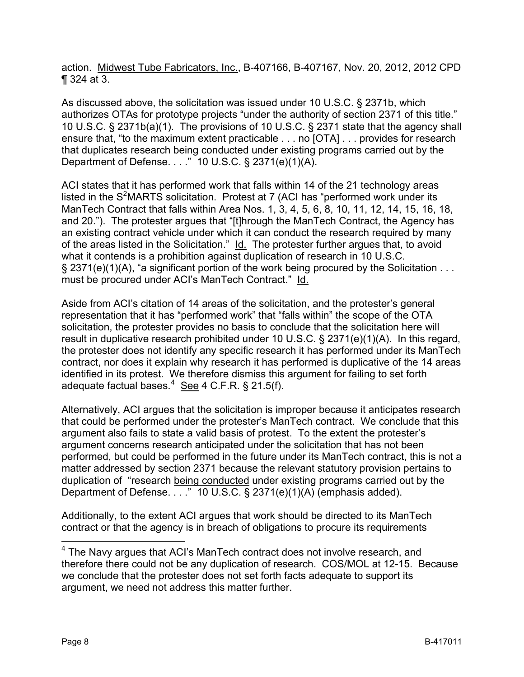action. Midwest Tube Fabricators, Inc., B-407166, B-407167, Nov. 20, 2012, 2012 CPD ¶ 324 at 3.

As discussed above, the solicitation was issued under 10 U.S.C. § 2371b, which authorizes OTAs for prototype projects "under the authority of section 2371 of this title." 10 U.S.C. § 2371b(a)(1). The provisions of 10 U.S.C. § 2371 state that the agency shall ensure that, "to the maximum extent practicable . . . no [OTA] . . . provides for research that duplicates research being conducted under existing programs carried out by the Department of Defense. . . ." 10 U.S.C. § 2371(e)(1)(A).

ACI states that it has performed work that falls within 14 of the 21 technology areas listed in the  $S^2$ MARTS solicitation. Protest at 7 (ACI has "performed work under its ManTech Contract that falls within Area Nos. 1, 3, 4, 5, 6, 8, 10, 11, 12, 14, 15, 16, 18, and 20."). The protester argues that "[t]hrough the ManTech Contract, the Agency has an existing contract vehicle under which it can conduct the research required by many of the areas listed in the Solicitation." Id. The protester further argues that, to avoid what it contends is a prohibition against duplication of research in 10 U.S.C.  $\S$  2371(e)(1)(A), "a significant portion of the work being procured by the Solicitation . . . must be procured under ACI's ManTech Contract." Id.

Aside from ACI's citation of 14 areas of the solicitation, and the protester's general representation that it has "performed work" that "falls within" the scope of the OTA solicitation, the protester provides no basis to conclude that the solicitation here will result in duplicative research prohibited under 10 U.S.C. § 2371(e)(1)(A). In this regard, the protester does not identify any specific research it has performed under its ManTech contract, nor does it explain why research it has performed is duplicative of the 14 areas identified in its protest. We therefore dismiss this argument for failing to set forth adequate factual bases.<sup>[4](#page-7-0)</sup> See 4 C.F.R. § 21.5(f).

Alternatively, ACI argues that the solicitation is improper because it anticipates research that could be performed under the protester's ManTech contract. We conclude that this argument also fails to state a valid basis of protest. To the extent the protester's argument concerns research anticipated under the solicitation that has not been performed, but could be performed in the future under its ManTech contract, this is not a matter addressed by section 2371 because the relevant statutory provision pertains to duplication of "research being conducted under existing programs carried out by the Department of Defense.  $\overline{\ldots}$  10 U.S.C. § 2371(e)(1)(A) (emphasis added).

Additionally, to the extent ACI argues that work should be directed to its ManTech contract or that the agency is in breach of obligations to procure its requirements

<span id="page-7-0"></span><sup>&</sup>lt;sup>4</sup> The Navy argues that ACI's ManTech contract does not involve research, and therefore there could not be any duplication of research. COS/MOL at 12-15. Because we conclude that the protester does not set forth facts adequate to support its argument, we need not address this matter further.